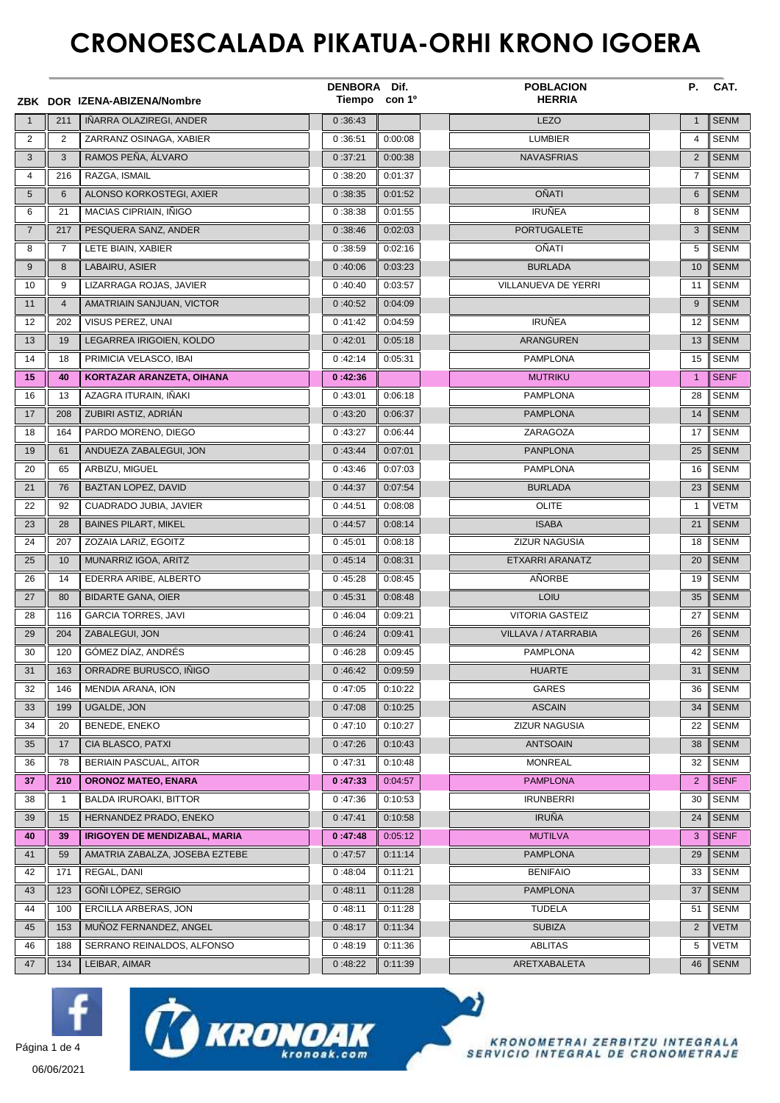## **CRONOESCALADA PIKATUA-ORHI KRONO IGOERA**

|                |                | ZBK DOR IZENA-ABIZENA/Nombre         | DENBORA Dif.<br>Tiempo con 1º |         | <b>POBLACION</b><br><b>HERRIA</b> | Р.             | CAT.        |
|----------------|----------------|--------------------------------------|-------------------------------|---------|-----------------------------------|----------------|-------------|
| $\overline{1}$ | 211            | IÑARRA OLAZIREGI, ANDER              | 0:36:43                       |         | <b>LEZO</b>                       | $\mathbf{1}$   | <b>SENM</b> |
| 2              | $\overline{2}$ | ZARRANZ OSINAGA, XABIER              | 0:36:51                       | 0:00:08 | <b>LUMBIER</b>                    | $\overline{4}$ | <b>SENM</b> |
| 3              | 3              | RAMOS PEÑA, ÁLVARO                   | 0:37:21                       | 0:00:38 | <b>NAVASFRIAS</b>                 | $\overline{2}$ | <b>SENM</b> |
| 4              | 216            | RAZGA, ISMAIL                        | 0:38:20                       | 0:01:37 |                                   | $\overline{7}$ | <b>SENM</b> |
| 5              | 6              | ALONSO KORKOSTEGI, AXIER             | 0:38:35                       | 0:01:52 | <b>OÑATI</b>                      | 6              | <b>SENM</b> |
| 6              | 21             | MACIAS CIPRIAIN, INIGO               | 0:38:38                       | 0:01:55 | <b>IRUÑEA</b>                     | 8              | <b>SENM</b> |
| $\overline{7}$ | 217            | PESQUERA SANZ, ANDER                 | 0:38:46                       | 0:02:03 | <b>PORTUGALETE</b>                | 3              | <b>SENM</b> |
| 8              | 7              | LETE BIAIN, XABIER                   | 0:38:59                       | 0:02:16 | OÑATI                             | 5              | <b>SENM</b> |
| 9              | 8              | LABAIRU, ASIER                       | 0:40:06                       | 0:03:23 | <b>BURLADA</b>                    | 10             | <b>SENM</b> |
| 10             | 9              | LIZARRAGA ROJAS, JAVIER              | 0:40:40                       | 0:03:57 | VILLANUEVA DE YERRI               | 11             | <b>SENM</b> |
| 11             | $\overline{4}$ | AMATRIAIN SANJUAN, VICTOR            | 0:40:52                       | 0:04:09 |                                   | 9              | <b>SENM</b> |
| 12             | 202            | VISUS PEREZ, UNAI                    | 0:41:42                       | 0:04:59 | <b>IRUÑEA</b>                     | 12             | <b>SENM</b> |
| 13             | 19             | LEGARREA IRIGOIEN, KOLDO             | 0:42:01                       | 0:05:18 | <b>ARANGUREN</b>                  | 13             | <b>SENM</b> |
| 14             | 18             | PRIMICIA VELASCO, IBAI               | 0:42:14                       | 0:05:31 | <b>PAMPLONA</b>                   | 15             | <b>SENM</b> |
| 15             | 40             | KORTAZAR ARANZETA, OIHANA            | 0:42:36                       |         | <b>MUTRIKU</b>                    | $\mathbf{1}$   | <b>SENF</b> |
| 16             | 13             | AZAGRA ITURAIN. IÑAKI                | 0:43:01                       | 0:06:18 | <b>PAMPLONA</b>                   | 28             | <b>SENM</b> |
| 17             | 208            | ZUBIRI ASTIZ, ADRIÁN                 | 0:43:20                       | 0:06:37 | <b>PAMPLONA</b>                   | 14             | <b>SENM</b> |
| 18             | 164            | PARDO MORENO, DIEGO                  | 0:43:27                       | 0:06:44 | ZARAGOZA                          | 17             | <b>SENM</b> |
| 19             | 61             | ANDUEZA ZABALEGUI, JON               | 0:43:44                       | 0:07:01 | <b>PANPLONA</b>                   | 25             | <b>SENM</b> |
| 20             | 65             | ARBIZU, MIGUEL                       | 0:43:46                       | 0:07:03 | <b>PAMPLONA</b>                   | 16             | <b>SENM</b> |
| 21             | 76             | BAZTAN LOPEZ, DAVID                  | 0:44:37                       | 0:07:54 | <b>BURLADA</b>                    | 23             | <b>SENM</b> |
| 22             | 92             | CUADRADO JUBIA, JAVIER               | 0:44:51                       | 0:08:08 | <b>OLITE</b>                      | $\mathbf{1}$   | <b>VETM</b> |
| 23             | 28             | <b>BAINES PILART, MIKEL</b>          | 0:44:57                       | 0:08:14 | <b>ISABA</b>                      | 21             | <b>SENM</b> |
| 24             | 207            | ZOZAIA LARIZ, EGOITZ                 | 0:45:01                       | 0:08:18 | ZIZUR NAGUSIA                     | 18             | <b>SENM</b> |
| 25             | 10             | MUNARRIZ IGOA, ARITZ                 | 0:45:14                       | 0:08:31 | ETXARRI ARANATZ                   | 20             | <b>SENM</b> |
| 26             | 14             | EDERRA ARIBE, ALBERTO                | 0:45:28                       | 0:08:45 | AÑORBE                            | 19             | <b>SENM</b> |
| 27             | 80             | <b>BIDARTE GANA, OIER</b>            | 0:45:31                       | 0:08:48 | LOIU                              | 35             | <b>SENM</b> |
| 28             | 116            | <b>GARCIA TORRES, JAVI</b>           | 0:46:04                       | 0:09:21 | <b>VITORIA GASTEIZ</b>            | 27             | <b>SENM</b> |
| 29             | 204            | ZABALEGUI, JON                       | 0:46:24                       | 0:09:41 | VILLAVA / ATARRABIA               | 26             | <b>SENM</b> |
| 30             | 120            | GÓMEZ DÍAZ, ANDRÉS                   | 0:46:28                       | 0:09:45 | <b>PAMPLONA</b>                   | 42             | <b>SENM</b> |
| 31             | 163            | ORRADRE BURUSCO, INIGO               | 0:46:42                       | 0:09:59 | <b>HUARTE</b>                     | 31             | <b>SENM</b> |
| 32             | 146            | MENDIA ARANA, ION                    | 0:47:05                       | 0:10:22 | GARES                             | 36             | <b>SENM</b> |
| 33             | 199            | UGALDE, JON                          | 0:47:08                       | 0:10:25 | <b>ASCAIN</b>                     | 34             | <b>SENM</b> |
| 34             | 20             | BENEDE, ENEKO                        | 0:47:10                       | 0:10:27 | ZIZUR NAGUSIA                     | 22             | <b>SENM</b> |
| 35             | 17             | CIA BLASCO, PATXI                    | 0:47:26                       | 0:10:43 | <b>ANTSOAIN</b>                   | 38             | <b>SENM</b> |
| 36             | 78             | <b>BERIAIN PASCUAL, AITOR</b>        | 0:47:31                       | 0:10:48 | <b>MONREAL</b>                    | 32             | <b>SENM</b> |
| 37             | 210            | <b>ORONOZ MATEO, ENARA</b>           | 0:47:33                       | 0:04:57 | <b>PAMPLONA</b>                   | $\overline{2}$ | <b>SENF</b> |
| 38             | 1              | <b>BALDA IRUROAKI, BITTOR</b>        | 0:47:36                       | 0:10:53 | <b>IRUNBERRI</b>                  | 30             | <b>SENM</b> |
| 39             | 15             | HERNANDEZ PRADO, ENEKO               | 0:47:41                       | 0:10:58 | <b>IRUÑA</b>                      | 24             | <b>SENM</b> |
| 40             | 39             | <b>IRIGOYEN DE MENDIZABAL, MARIA</b> | 0:47:48                       | 0:05:12 | <b>MUTILVA</b>                    | 3              | <b>SENF</b> |
| 41             | 59             | AMATRIA ZABALZA, JOSEBA EZTEBE       | 0:47:57                       | 0:11:14 | <b>PAMPLONA</b>                   | 29             | <b>SENM</b> |
| 42             | 171            | REGAL, DANI                          | 0:48:04                       | 0:11:21 | <b>BENIFAIO</b>                   | 33             | <b>SENM</b> |
| 43             | 123            | GOÑI LÓPEZ, SERGIO                   | 0:48:11                       | 0:11:28 | <b>PAMPLONA</b>                   | 37             | <b>SENM</b> |
| 44             | 100            | ERCILLA ARBERAS, JON                 | 0:48:11                       | 0:11:28 | <b>TUDELA</b>                     | 51             | <b>SENM</b> |
| 45             | 153            | MUÑOZ FERNANDEZ, ANGEL               | 0:48:17                       | 0:11:34 | <b>SUBIZA</b>                     | $\overline{2}$ | <b>VETM</b> |
| 46             | 188            | SERRANO REINALDOS, ALFONSO           | 0:48:19                       | 0:11:36 | ABLITAS                           | 5              | VETM        |
| 47             | 134            | LEIBAR, AIMAR                        | 0:48:22                       | 0:11:39 | ARETXABALETA                      | 46             | SENM        |







06/06/2021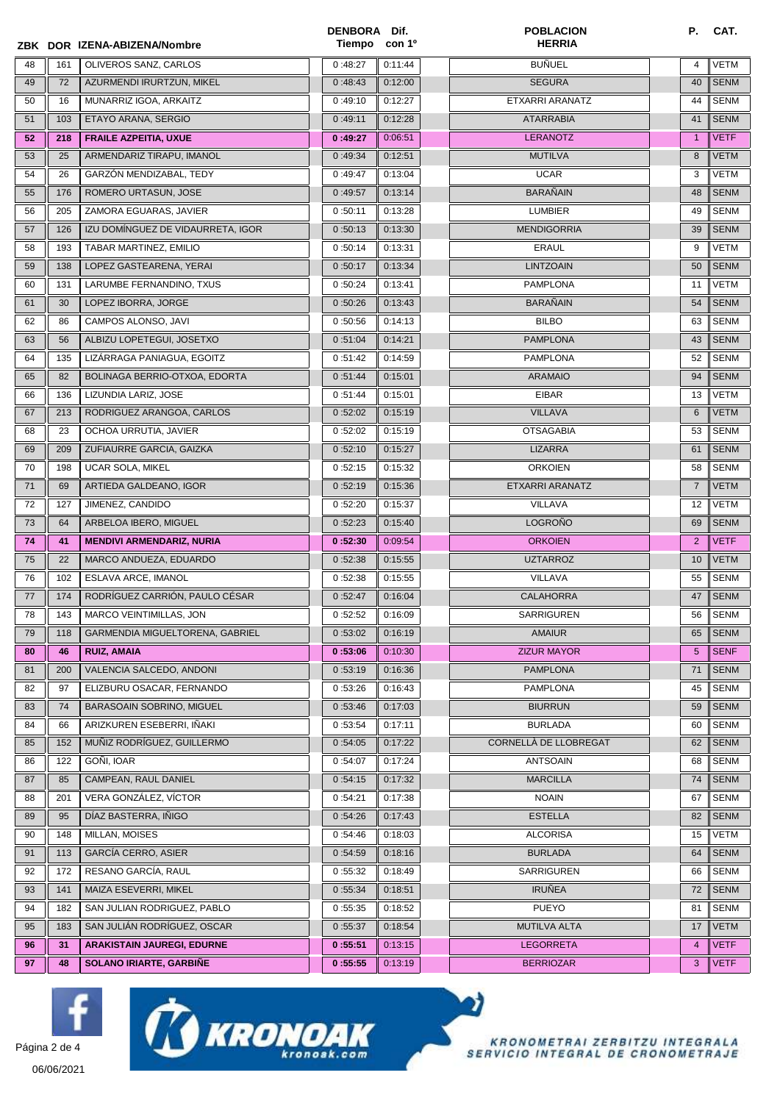|    |     | ZBK DOR IZENA-ABIZENA/Nombre      | DENBORA Dif.<br>Tiempo con 1 <sup>o</sup> |         | <b>POBLACION</b><br><b>HERRIA</b> | Р.             | CAT.        |
|----|-----|-----------------------------------|-------------------------------------------|---------|-----------------------------------|----------------|-------------|
| 48 | 161 | OLIVEROS SANZ, CARLOS             | 0:48:27                                   | 0:11:44 | BUÑUEL                            | 4              | <b>VETM</b> |
| 49 | 72  | AZURMENDI IRURTZUN, MIKEL         | 0:48:43                                   | 0:12:00 | <b>SEGURA</b>                     | 40             | <b>SENM</b> |
| 50 | 16  | MUNARRIZ IGOA, ARKAITZ            | 0:49:10                                   | 0:12:27 | ETXARRI ARANATZ                   | 44             | SENM        |
| 51 | 103 | ETAYO ARANA, SERGIO               | 0:49:11                                   | 0:12:28 | <b>ATARRABIA</b>                  | 41             | <b>SENM</b> |
| 52 | 218 | <b>FRAILE AZPEITIA, UXUE</b>      | 0:49:27                                   | 0:06:51 | <b>LERANOTZ</b>                   | $\mathbf{1}$   | <b>VETF</b> |
| 53 | 25  | ARMENDARIZ TIRAPU, IMANOL         | 0:49:34                                   | 0:12:51 | <b>MUTILVA</b>                    | 8              | <b>VETM</b> |
| 54 | 26  | GARZÓN MENDIZABAL, TEDY           | 0:49:47                                   | 0:13:04 | <b>UCAR</b>                       | 3              | VETM        |
| 55 | 176 | ROMERO URTASUN, JOSE              | 0:49:57                                   | 0:13:14 | <b>BARAÑAIN</b>                   | 48             | <b>SENM</b> |
| 56 | 205 | ZAMORA EGUARAS, JAVIER            | 0:50:11                                   | 0:13:28 | LUMBIER                           | 49             | SENM        |
| 57 | 126 | IZU DOMÍNGUEZ DE VIDAURRETA, IGOR | 0:50:13                                   | 0:13:30 | <b>MENDIGORRIA</b>                | 39             | <b>SENM</b> |
| 58 | 193 | TABAR MARTINEZ, EMILIO            | 0:50:14                                   | 0:13:31 | <b>ERAUL</b>                      | 9              | <b>VETM</b> |
| 59 | 138 | LOPEZ GASTEARENA, YERAI           | 0:50:17                                   | 0:13:34 | <b>LINTZOAIN</b>                  | 50             | <b>SENM</b> |
| 60 | 131 | LARUMBE FERNANDINO, TXUS          | 0:50:24                                   | 0:13:41 | <b>PAMPLONA</b>                   | 11             | <b>VETM</b> |
| 61 | 30  | LOPEZ IBORRA, JORGE               | 0:50:26                                   | 0:13:43 | <b>BARAÑAIN</b>                   | 54             | <b>SENM</b> |
| 62 | 86  | CAMPOS ALONSO, JAVI               | 0:50:56                                   | 0:14:13 | <b>BILBO</b>                      | 63             | SENM        |
| 63 | 56  | ALBIZU LOPETEGUI, JOSETXO         | 0:51:04                                   | 0:14:21 | <b>PAMPLONA</b>                   | 43             | <b>SENM</b> |
| 64 | 135 | LIZÁRRAGA PANIAGUA, EGOITZ        | 0:51:42                                   | 0:14:59 | <b>PAMPLONA</b>                   | 52             | <b>SENM</b> |
| 65 | 82  | BOLINAGA BERRIO-OTXOA, EDORTA     | 0:51:44                                   | 0:15:01 | <b>ARAMAIO</b>                    | 94             | <b>SENM</b> |
| 66 | 136 | LIZUNDIA LARIZ, JOSE              | 0:51:44                                   | 0:15:01 | <b>EIBAR</b>                      | 13             | VETM        |
| 67 | 213 | RODRIGUEZ ARANGOA, CARLOS         | 0:52:02                                   | 0:15:19 | <b>VILLAVA</b>                    | 6              | <b>VETM</b> |
| 68 | 23  | OCHOA URRUTIA, JAVIER             | 0:52:02                                   | 0:15:19 | <b>OTSAGABIA</b>                  | 53             | SENM        |
| 69 | 209 | ZUFIAURRE GARCIA, GAIZKA          | 0:52:10                                   | 0:15:27 | LIZARRA                           | 61             | <b>SENM</b> |
| 70 | 198 | UCAR SOLA, MIKEL                  | 0:52:15                                   | 0:15:32 | <b>ORKOIEN</b>                    | 58             | <b>SENM</b> |
| 71 | 69  | ARTIEDA GALDEANO, IGOR            | 0:52:19                                   | 0:15:36 | ETXARRI ARANATZ                   | $\overline{7}$ | <b>VETM</b> |
| 72 | 127 | JIMENEZ, CANDIDO                  | 0:52:20                                   | 0:15:37 | VILLAVA                           | 12             | VETM        |
| 73 | 64  | ARBELOA IBERO, MIGUEL             | 0:52:23                                   | 0:15:40 | <b>LOGROÑO</b>                    | 69             | <b>SENM</b> |
| 74 | 41  | <b>MENDIVI ARMENDARIZ, NURIA</b>  | 0:52:30                                   | 0:09:54 | <b>ORKOIEN</b>                    | $\overline{2}$ | <b>VETF</b> |
| 75 | 22  | MARCO ANDUEZA, EDUARDO            | 0:52:38                                   | 0:15:55 | <b>UZTARROZ</b>                   | 10             | VETM        |
| 76 | 102 | <b>ESLAVA ARCE. IMANOL</b>        | 0:52:38                                   | 0:15:55 | VILLAVA                           | 55             | <b>SENM</b> |
| 77 | 174 | RODRÍGUEZ CARRIÓN, PAULO CÉSAR    | 0:52:47                                   | 0:16:04 | <b>CALAHORRA</b>                  | 47             | <b>SENM</b> |
| 78 | 143 | MARCO VEINTIMILLAS, JON           | 0:52:52                                   | 0:16:09 | SARRIGUREN                        | 56             | <b>SENM</b> |
| 79 | 118 | GARMENDIA MIGUELTORENA, GABRIEL   | 0:53:02                                   | 0:16:19 | <b>AMAIUR</b>                     | 65             | <b>SENM</b> |
| 80 | 46  | <b>RUIZ, AMAIA</b>                | 0:53:06                                   | 0:10:30 | <b>ZIZUR MAYOR</b>                | $5^{\circ}$    | <b>SENF</b> |
| 81 | 200 | VALENCIA SALCEDO, ANDONI          | 0:53:19                                   | 0:16:36 | <b>PAMPLONA</b>                   | 71             | <b>SENM</b> |
| 82 | 97  | ELIZBURU OSACAR, FERNANDO         | 0:53:26                                   | 0:16:43 | <b>PAMPLONA</b>                   | 45             | <b>SENM</b> |
| 83 | 74  | BARASOAIN SOBRINO, MIGUEL         | 0:53:46                                   | 0:17:03 | <b>BIURRUN</b>                    | 59             | <b>SENM</b> |
| 84 | 66  | ARIZKUREN ESEBERRI, IÑAKI         | 0:53:54                                   | 0:17:11 | <b>BURLADA</b>                    | 60             | <b>SENM</b> |
| 85 | 152 | MUÑIZ RODRÍGUEZ, GUILLERMO        | 0:54:05                                   | 0:17:22 | CORNELLÀ DE LLOBREGAT             | 62             | <b>SENM</b> |
| 86 | 122 | GOÑI, IOAR                        | 0:54:07                                   | 0:17:24 | <b>ANTSOAIN</b>                   | 68             | <b>SENM</b> |
| 87 | 85  | CAMPEAN, RAUL DANIEL              | 0:54:15                                   | 0:17:32 | <b>MARCILLA</b>                   | 74             | <b>SENM</b> |
| 88 | 201 | VERA GONZÁLEZ, VÍCTOR             | 0:54:21                                   | 0:17:38 | <b>NOAIN</b>                      | 67             | <b>SENM</b> |
| 89 | 95  | DÍAZ BASTERRA, IÑIGO              | 0:54:26                                   | 0:17:43 | <b>ESTELLA</b>                    | 82             | <b>SENM</b> |
| 90 | 148 | <b>MILLAN, MOISES</b>             | 0:54:46                                   | 0:18:03 | <b>ALCORISA</b>                   | 15             | VETM        |
| 91 | 113 | <b>GARCÍA CERRO, ASIER</b>        | 0:54:59                                   | 0:18:16 | <b>BURLADA</b>                    | 64             | <b>SENM</b> |
| 92 | 172 | RESANO GARCÍA, RAUL               | 0:55:32                                   | 0:18:49 | SARRIGUREN                        | 66             | SENM        |
| 93 | 141 | MAIZA ESEVERRI, MIKEL             | 0:55:34                                   | 0:18:51 | <b>IRUÑEA</b>                     | 72             | <b>SENM</b> |
| 94 | 182 | SAN JULIAN RODRIGUEZ, PABLO       | 0:55:35                                   | 0:18:52 | <b>PUEYO</b>                      | 81             | <b>SENM</b> |
| 95 | 183 | SAN JULIAN RODRIGUEZ, OSCAR       | 0:55:37                                   | 0:18:54 | MUTILVA ALTA                      | 17             | <b>VETM</b> |
| 96 | 31  | <b>ARAKISTAIN JAUREGI, EDURNE</b> | 0:55:51                                   | 0:13:15 | <b>LEGORRETA</b>                  | $\overline{4}$ | <b>VETF</b> |
| 97 | 48  | SOLANO IRIARTE, GARBIÑE           | 0:55:55                                   | 0:13:19 | <b>BERRIOZAR</b>                  | 3              | <b>VETF</b> |







 $\bullet$ 

06/06/2021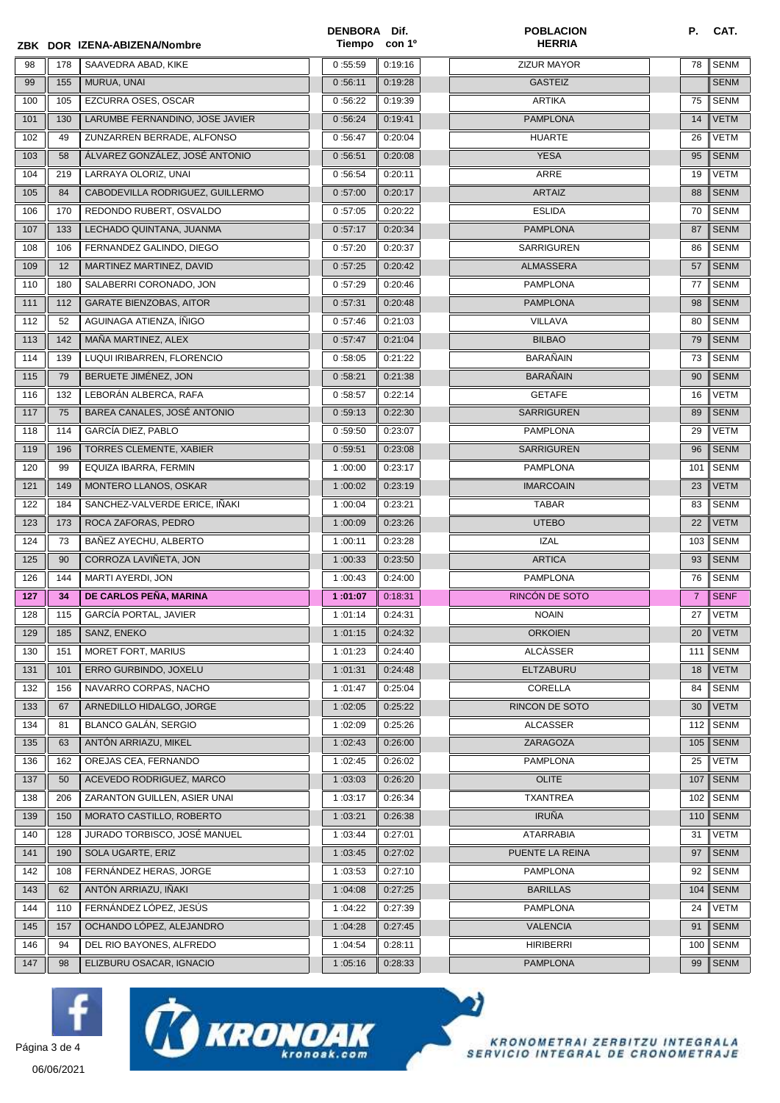|     |     | ZBK DOR IZENA-ABIZENA/Nombre     | DENBORA Dif.<br>Tiempo | con 1 <sup>o</sup> | <b>POBLACION</b><br><b>HERRIA</b> | Р.             | CAT.        |
|-----|-----|----------------------------------|------------------------|--------------------|-----------------------------------|----------------|-------------|
| 98  | 178 | SAAVEDRA ABAD, KIKE              | 0:55:59                | 0:19:16            | <b>ZIZUR MAYOR</b>                | 78             | <b>SENM</b> |
| 99  | 155 | MURUA, UNAI                      | 0:56:11                | 0:19:28            | <b>GASTEIZ</b>                    |                | <b>SENM</b> |
| 100 | 105 | EZCURRA OSES, OSCAR              | 0:56:22                | 0:19:39            | <b>ARTIKA</b>                     | 75             | <b>SENM</b> |
| 101 | 130 | LARUMBE FERNANDINO, JOSE JAVIER  | 0:56:24                | 0:19:41            | <b>PAMPLONA</b>                   | 14             | <b>VETM</b> |
| 102 | 49  | ZUNZARREN BERRADE, ALFONSO       | 0:56:47                | 0:20:04            | <b>HUARTE</b>                     | 26             | <b>VETM</b> |
| 103 | 58  | ÁLVAREZ GONZÁLEZ, JOSÉ ANTONIO   | 0:56:51                | 0:20:08            | <b>YESA</b>                       | 95             | <b>SENM</b> |
| 104 | 219 | LARRAYA OLORIZ, UNAI             | 0:56:54                | 0:20:11            | ARRE                              | 19             | <b>VETM</b> |
| 105 | 84  | CABODEVILLA RODRIGUEZ, GUILLERMO | 0:57:00                | 0:20:17            | <b>ARTAIZ</b>                     | 88             | <b>SENM</b> |
| 106 | 170 | REDONDO RUBERT, OSVALDO          | 0:57:05                | 0:20:22            | <b>ESLIDA</b>                     | 70             | <b>SENM</b> |
| 107 | 133 | LECHADO QUINTANA, JUANMA         | 0:57:17                | 0:20:34            | <b>PAMPLONA</b>                   | 87             | <b>SENM</b> |
| 108 | 106 | FERNANDEZ GALINDO, DIEGO         | 0:57:20                | 0:20:37            | <b>SARRIGUREN</b>                 | 86             | <b>SENM</b> |
| 109 | 12  | MARTINEZ MARTINEZ, DAVID         | 0:57:25                | 0:20:42            | ALMASSERA                         | 57             | <b>SENM</b> |
| 110 | 180 | SALABERRI CORONADO, JON          | 0:57:29                | 0:20:46            | <b>PAMPLONA</b>                   | 77             | <b>SENM</b> |
| 111 | 112 | <b>GARATE BIENZOBAS, AITOR</b>   | 0:57:31                | 0:20:48            | <b>PAMPLONA</b>                   | 98             | <b>SENM</b> |
| 112 | 52  | AGUINAGA ATIENZA, INIGO          | 0:57:46                | 0:21:03            | VILLAVA                           | 80             | <b>SENM</b> |
| 113 | 142 | MAÑA MARTINEZ, ALEX              | 0:57:47                | 0:21:04            | <b>BILBAO</b>                     | 79             | <b>SENM</b> |
| 114 | 139 | LUQUI IRIBARREN, FLORENCIO       | 0:58:05                | 0:21:22            | <b>BARAÑAIN</b>                   | 73             | <b>SENM</b> |
| 115 | 79  | BERUETE JIMÉNEZ, JON             | 0:58:21                | 0:21:38            | <b>BARAÑAIN</b>                   | 90             | <b>SENM</b> |
| 116 | 132 | LEBORÁN ALBERCA, RAFA            | 0:58:57                | 0:22:14            | <b>GETAFE</b>                     | 16             | <b>VETM</b> |
| 117 | 75  | BAREA CANALES, JOSÉ ANTONIO      | 0:59:13                | 0:22:30            | <b>SARRIGUREN</b>                 | 89             | <b>SENM</b> |
| 118 | 114 | GARCÍA DIEZ, PABLO               | 0:59:50                | 0:23:07            | <b>PAMPLONA</b>                   | 29             | <b>VETM</b> |
| 119 | 196 | TORRES CLEMENTE, XABIER          | 0:59:51                | 0:23:08            | <b>SARRIGUREN</b>                 | 96             | <b>SENM</b> |
| 120 | 99  | EQUIZA IBARRA, FERMIN            | 1:00:00                | 0:23:17            | <b>PAMPLONA</b>                   | 101            | <b>SENM</b> |
| 121 | 149 | MONTERO LLANOS, OSKAR            | 1:00:02                | 0:23:19            | <b>IMARCOAIN</b>                  | 23             | <b>VETM</b> |
| 122 | 184 | SANCHEZ-VALVERDE ERICE, IÑAKI    | 1:00:04                | 0:23:21            | <b>TABAR</b>                      | 83             | <b>SENM</b> |
| 123 | 173 | ROCA ZAFORAS, PEDRO              | 1:00:09                | 0:23:26            | <b>UTEBO</b>                      | 22             | <b>VETM</b> |
| 124 | 73  | BAÑEZ AYECHU, ALBERTO            | 1:00:11                | 0:23:28            | <b>IZAL</b>                       | 103            | <b>SENM</b> |
| 125 | 90  | CORROZA LAVIÑETA, JON            | 1:00:33                | 0:23:50            | <b>ARTICA</b>                     | 93             | <b>SENM</b> |
| 126 | 144 | MARTI AYERDI, JON                | 1:00:43                | 0:24:00            | <b>PAMPLONA</b>                   | 76             | <b>SENM</b> |
| 127 | 34  | DE CARLOS PEÑA, MARINA           | 1:01:07                | 0:18:31            | RINCÓN DE SOTO                    | $\overline{7}$ | <b>SENF</b> |
| 128 | 115 | <b>GARCÍA PORTAL, JAVIER</b>     | $\overline{1}$ :01:14  | 0:24:31            | <b>NOAIN</b>                      | 27             | <b>VETM</b> |
| 129 | 185 | SANZ, ENEKO                      | 1:01:15                | 0:24:32            | <b>ORKOIEN</b>                    | 20             | <b>VETM</b> |
| 130 | 151 | MORET FORT, MARIUS               | 1:01:23                | 0:24:40            | <b>ALCÀSSER</b>                   | 111            | <b>SENM</b> |
| 131 | 101 | ERRO GURBINDO, JOXELU            | 1:01:31                | 0:24:48            | ELTZABURU                         | 18             | <b>VETM</b> |
| 132 | 156 | NAVARRO CORPAS, NACHO            | 1:01:47                | 0:25:04            | CORELLA                           | 84             | SENM        |
| 133 | 67  | ARNEDILLO HIDALGO, JORGE         | 1:02:05                | 0:25:22            | RINCON DE SOTO                    | 30             | <b>VETM</b> |
| 134 | 81  | <b>BLANCO GALÁN, SERGIO</b>      | 1:02:09                | 0:25:26            | <b>ALCASSER</b>                   | 112            | <b>SENM</b> |
| 135 | 63  | ANTÓN ARRIAZU, MIKEL             | 1:02:43                | 0:26:00            | ZARAGOZA                          | 105            | <b>SENM</b> |
| 136 | 162 | OREJAS CEA. FERNANDO             | 1:02:45                | 0:26:02            | <b>PAMPLONA</b>                   | 25             | <b>VETM</b> |
| 137 | 50  | ACEVEDO RODRIGUEZ, MARCO         | 1:03:03                | 0:26:20            | <b>OLITE</b>                      | 107            | <b>SENM</b> |
| 138 | 206 | ZARANTON GUILLEN, ASIER UNAI     | 1:03:17                | 0:26:34            | <b>TXANTREA</b>                   | 102            | <b>SENM</b> |
| 139 | 150 | MORATO CASTILLO, ROBERTO         | 1:03:21                | 0:26:38            | <b>IRUÑA</b>                      | 110            | <b>SENM</b> |
| 140 | 128 | JURADO TORBISCO, JOSÉ MANUEL     | 1:03:44                | 0:27:01            | <b>ATARRABIA</b>                  | 31             | <b>VETM</b> |
| 141 | 190 | SOLA UGARTE, ERIZ                | 1:03:45                | 0:27:02            | PUENTE LA REINA                   | 97             | <b>SENM</b> |
| 142 | 108 | FERNÁNDEZ HERAS, JORGE           | 1:03:53                | 0:27:10            | <b>PAMPLONA</b>                   | 92             | <b>SENM</b> |
| 143 | 62  | ANTÓN ARRIAZU, IÑAKI             | 1:04:08                | 0:27:25            | <b>BARILLAS</b>                   | 104            | <b>SENM</b> |
| 144 | 110 | FERNÁNDEZ LÓPEZ, JESÚS           | 1:04:22                | 0:27:39            | <b>PAMPLONA</b>                   | 24             | <b>VETM</b> |
| 145 | 157 | OCHANDO LÓPEZ, ALEJANDRO         | 1:04:28                | 0:27:45            | <b>VALENCIA</b>                   | 91             | <b>SENM</b> |
| 146 | 94  | DEL RIO BAYONES, ALFREDO         | 1:04:54                | 0:28:11            | <b>HIRIBERRI</b>                  | 100            | <b>SENM</b> |
| 147 | 98  | ELIZBURU OSACAR, IGNACIO         | 1:05:16                | 0:28:33            | <b>PAMPLONA</b>                   | 99             | <b>SENM</b> |







 $\bullet$